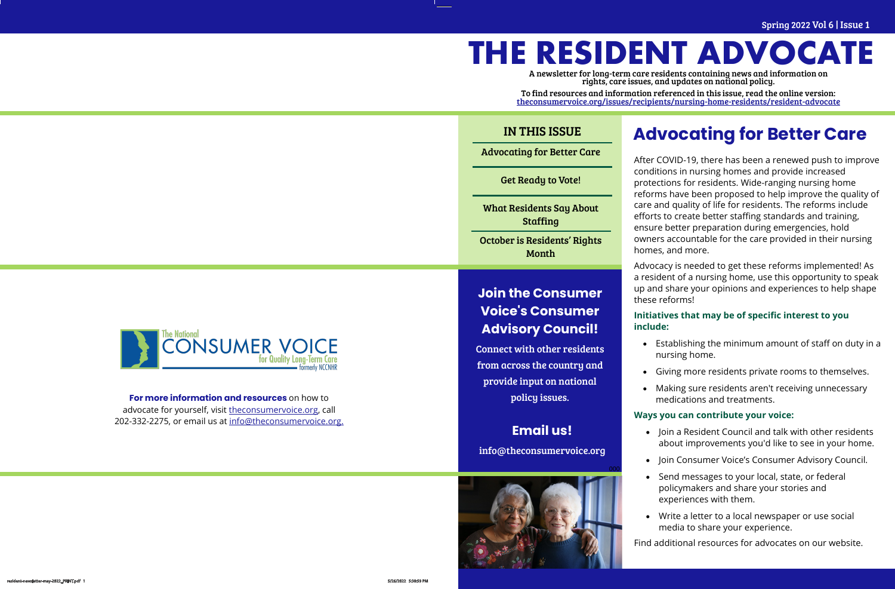# **THE RESIDENT ADVOCATE**

A newsletter for long-term care residents containing news and information on rights, care issues, and updates on national policy.

To find resources and information referenced in this issue, read the online version: [theconsumervoice.org/issues/recipients/nursing](https://theconsumervoice.org/issues/recipients/nursing-home-residents/resident-advocate)-home-residents/resident-advocate

## Advocating for Better Care Get Ready to Vote! What Residents Say About **Staffing** October is Residents' Rights Month IN THIS ISSUE

Spring 2022 Vol 6 | Issue 1

After COVID-19, there has been a renewed push to improve conditions in nursing homes and provide increased protections for residents. Wide-ranging nursing home reforms have been proposed to help improve the quality of care and quality of life for residents. The reforms include efforts to create better staffing standards and training, ensure better preparation during emergencies, hold owners accountable for the care provided in their nursing homes, and more.

Advocacy is needed to get these reforms implemented! As a resident of a nursing home, use this opportunity to speak up and share your opinions and experiences to help shape these reforms!

#### **Initiatives that may be of specific interest to you include:**

- Establishing the minimum amount of staff on duty in a nursing home.
- Giving more residents private rooms to themselves.
- Making sure residents aren't receiving unnecessary medications and treatments.

#### **Ways you can contribute your voice:**

- Join a Resident Council and talk with other residents about improvements you'd like to see in your home.
- Join Consumer Voice's Consumer Advisory Council.
- Send messages to your local, state, or federal policymakers and share your stories and experiences with them.
- Write a letter to a local newspaper or use social media to share your experience.

Find additional resources for advocates on our website.

**Email us!** 

info@theconsumervoice.org





## **Advocating for Better Care**

### **Join the Consumer Voice's Consumer Advisory Council!**

Connect with other residents from across the country and provide input on national policy issues.

#### **For more information and resources** on how to advocate for yourself, visit [theconsumervoice.org,](theconsumervoice.org) call 202-332-2275, or email us at [info@theconsumervoice.org.](mailto:info@theconsumervoice.org)